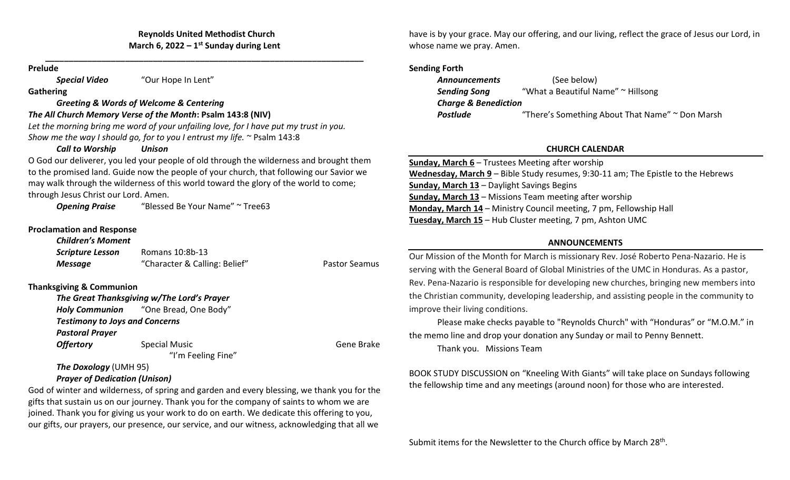### Reynolds United Methodist Church March 6, 2022 –  $1<sup>st</sup>$  Sunday during Lent

\_\_\_\_\_\_\_\_\_\_\_\_\_\_\_\_\_\_\_\_\_\_\_\_\_\_\_\_\_\_\_\_\_\_\_\_\_\_\_\_\_\_\_\_\_\_\_\_\_\_\_\_\_\_\_\_\_\_\_\_\_\_\_\_\_\_\_\_

#### Prelude

Special Video "Our Hope In Lent"

**Gathering** 

### Greeting & Words of Welcome & Centering

### The All Church Memory Verse of the Month: Psalm 143:8 (NIV)

Let the morning bring me word of your unfailing love, for I have put my trust in you. Show me the way I should go, for to you I entrust my life. ~ Psalm 143:8

### Call to Worship Unison

O God our deliverer, you led your people of old through the wilderness and brought them to the promised land. Guide now the people of your church, that following our Savior we may walk through the wilderness of this world toward the glory of the world to come; through Jesus Christ our Lord. Amen.

**Opening Praise** "Blessed Be Your Name" ~ Tree63

### Proclamation and Response

| <b>Children's Moment</b> |                               |               |
|--------------------------|-------------------------------|---------------|
| <b>Scripture Lesson</b>  | Romans 10:8b-13               |               |
| Message                  | "Character & Calling: Belief" | Pastor Seamus |

## Thanksgiving & Communion

The Great Thanksgiving w/The Lord's Prayer Holy Communion "One Bread, One Body" Testimony to Joys and Concerns Pastoral Prayer **Offertory** Special Music Gene Brake Gene Brake "I'm Feeling Fine" The Doxology (UMH 95)

## Prayer of Dedication (Unison)

God of winter and wilderness, of spring and garden and every blessing, we thank you for the gifts that sustain us on our journey. Thank you for the company of saints to whom we are joined. Thank you for giving us your work to do on earth. We dedicate this offering to you, our gifts, our prayers, our presence, our service, and our witness, acknowledging that all we

have is by your grace. May our offering, and our living, reflect the grace of Jesus our Lord, in whose name we pray. Amen.

### Sending Forth

| <b>Announcements</b>            | (See below)                                     |  |  |  |
|---------------------------------|-------------------------------------------------|--|--|--|
| <b>Sending Song</b>             | "What a Beautiful Name" ~ Hillsong              |  |  |  |
| <b>Charge &amp; Benediction</b> |                                                 |  |  |  |
| <b>Postlude</b>                 | "There's Something About That Name" ~ Don Marsh |  |  |  |

# CHURCH CALENDAR

| <b>Sunday, March 6</b> – Trustees Meeting after worship                          |
|----------------------------------------------------------------------------------|
| Wednesday, March 9 - Bible Study resumes, 9:30-11 am; The Epistle to the Hebrews |
| <b>Sunday, March 13 - Daylight Savings Begins</b>                                |
| <b>Sunday, March 13 - Missions Team meeting after worship</b>                    |
| <b>Monday, March 14</b> – Ministry Council meeting, 7 pm, Fellowship Hall        |
| Tuesday, March 15 - Hub Cluster meeting, 7 pm, Ashton UMC                        |

### ANNOUNCEMENTS

Our Mission of the Month for March is missionary Rev. José Roberto Pena-Nazario. He is serving with the General Board of Global Ministries of the UMC in Honduras. As a pastor, Rev. Pena-Nazario is responsible for developing new churches, bringing new members into the Christian community, developing leadership, and assisting people in the community to improve their living conditions.

Please make checks payable to "Reynolds Church" with "Honduras" or "M.O.M." in the memo line and drop your donation any Sunday or mail to Penny Bennett.

Thank you. Missions Team

BOOK STUDY DISCUSSION on "Kneeling With Giants" will take place on Sundays following the fellowship time and any meetings (around noon) for those who are interested.

Submit items for the Newsletter to the Church office by March 28<sup>th</sup>.